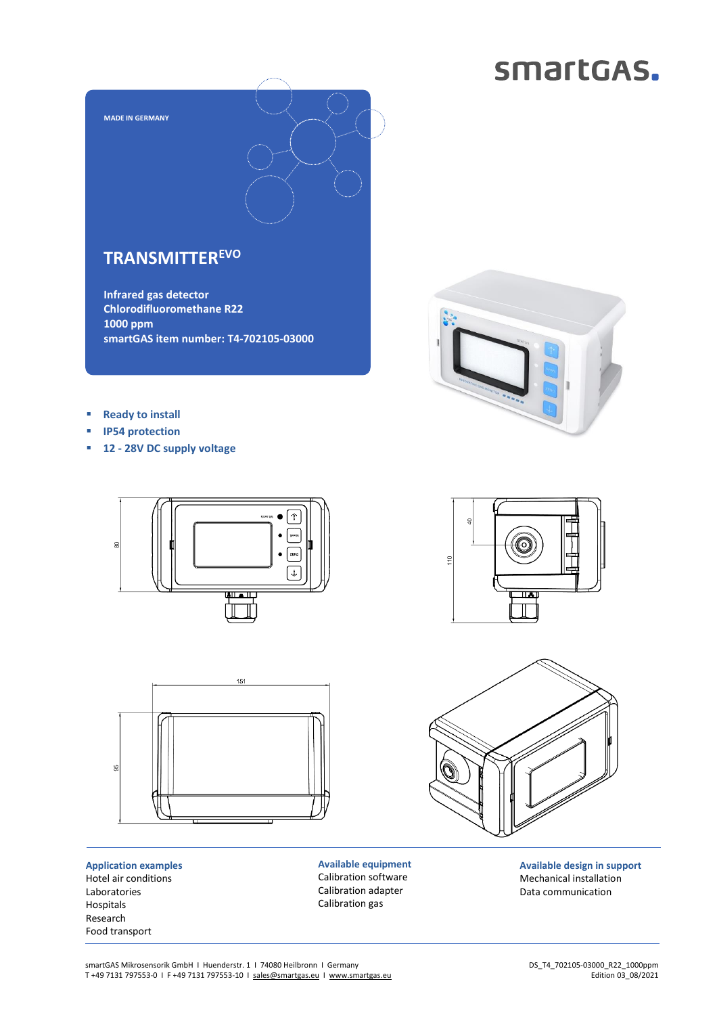## smartGAS.



### **TRANSMITTEREVO**

**Infrared gas detector Chlorodifluoromethane R22 1000 ppm smartGAS item number: T4-702105-03000**



- **IP54 protection**
- **12 - 28V DC supply voltage**





**Application examples** Hotel air conditions Laboratories Hospitals Research Food transport

**Available equipment** Calibration software Calibration adapter Calibration gas







**Available design in support** Mechanical installation Data communication